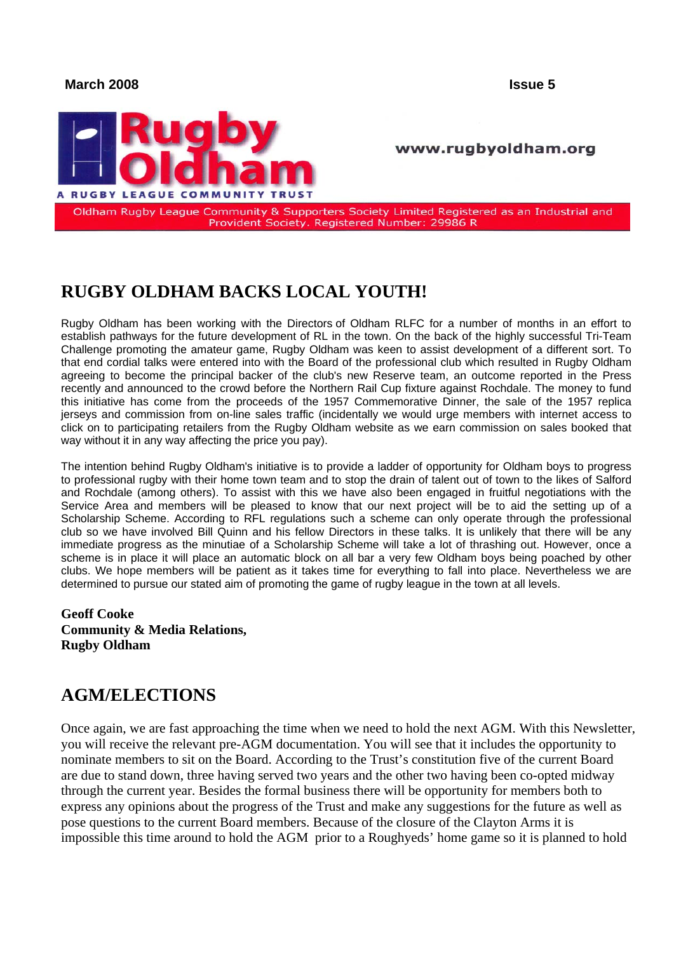#### **March 2008 Issue 5**



#### www.rugbyoldham.org

Oldham Rugby League Community & Supporters Society Limited Registered as an Industrial and Provident Society. Registered Number: 29986 R

# **RUGBY OLDHAM BACKS LOCAL YOUTH!**

Rugby Oldham has been working with the Directors of Oldham RLFC for a number of months in an effort to establish pathways for the future development of RL in the town. On the back of the highly successful Tri-Team Challenge promoting the amateur game, Rugby Oldham was keen to assist development of a different sort. To that end cordial talks were entered into with the Board of the professional club which resulted in Rugby Oldham agreeing to become the principal backer of the club's new Reserve team, an outcome reported in the Press recently and announced to the crowd before the Northern Rail Cup fixture against Rochdale. The money to fund this initiative has come from the proceeds of the 1957 Commemorative Dinner, the sale of the 1957 replica jerseys and commission from on-line sales traffic (incidentally we would urge members with internet access to click on to participating retailers from the Rugby Oldham website as we earn commission on sales booked that way without it in any way affecting the price you pay).

The intention behind Rugby Oldham's initiative is to provide a ladder of opportunity for Oldham boys to progress to professional rugby with their home town team and to stop the drain of talent out of town to the likes of Salford and Rochdale (among others). To assist with this we have also been engaged in fruitful negotiations with the Service Area and members will be pleased to know that our next project will be to aid the setting up of a Scholarship Scheme. According to RFL regulations such a scheme can only operate through the professional club so we have involved Bill Quinn and his fellow Directors in these talks. It is unlikely that there will be any immediate progress as the minutiae of a Scholarship Scheme will take a lot of thrashing out. However, once a scheme is in place it will place an automatic block on all bar a very few Oldham boys being poached by other clubs. We hope members will be patient as it takes time for everything to fall into place. Nevertheless we are determined to pursue our stated aim of promoting the game of rugby league in the town at all levels.

**Geoff Cooke Community & Media Relations, Rugby Oldham** 

### **AGM/ELECTIONS**

Once again, we are fast approaching the time when we need to hold the next AGM. With this Newsletter, you will receive the relevant pre-AGM documentation. You will see that it includes the opportunity to nominate members to sit on the Board. According to the Trust's constitution five of the current Board are due to stand down, three having served two years and the other two having been co-opted midway through the current year. Besides the formal business there will be opportunity for members both to express any opinions about the progress of the Trust and make any suggestions for the future as well as pose questions to the current Board members. Because of the closure of the Clayton Arms it is impossible this time around to hold the AGM prior to a Roughyeds' home game so it is planned to hold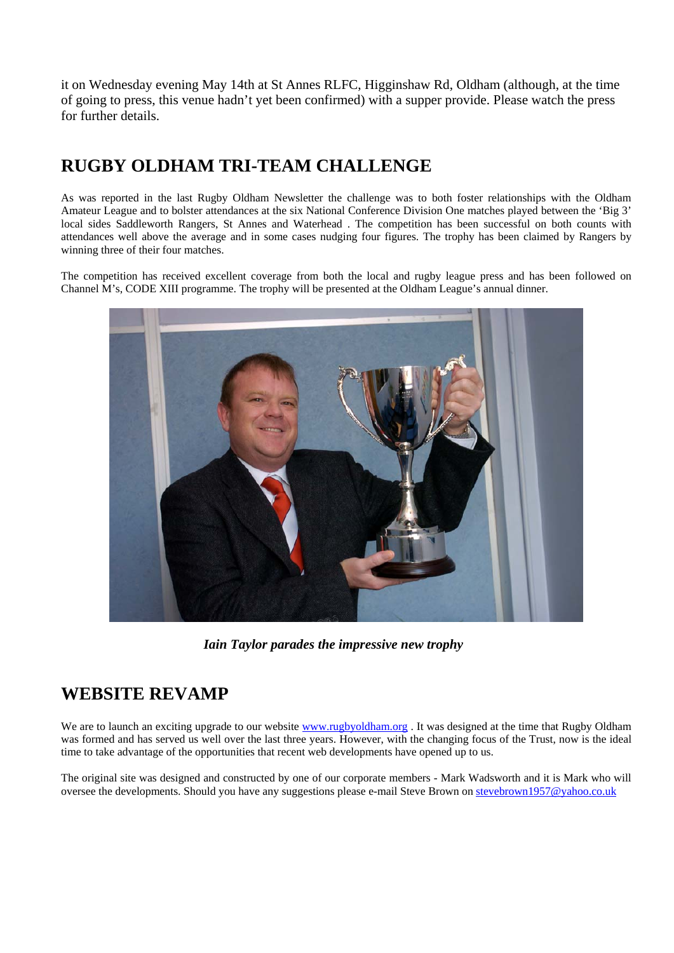it on Wednesday evening May 14th at St Annes RLFC, Higginshaw Rd, Oldham (although, at the time of going to press, this venue hadn't yet been confirmed) with a supper provide. Please watch the press for further details.

# **RUGBY OLDHAM TRI-TEAM CHALLENGE**

As was reported in the last Rugby Oldham Newsletter the challenge was to both foster relationships with the Oldham Amateur League and to bolster attendances at the six National Conference Division One matches played between the 'Big 3' local sides Saddleworth Rangers, St Annes and Waterhead . The competition has been successful on both counts with attendances well above the average and in some cases nudging four figures. The trophy has been claimed by Rangers by winning three of their four matches.

The competition has received excellent coverage from both the local and rugby league press and has been followed on Channel M's, CODE XIII programme. The trophy will be presented at the Oldham League's annual dinner.



*Iain Taylor parades the impressive new trophy* 

# **WEBSITE REVAMP**

We are to launch an exciting upgrade to our website [www.rugbyoldham.org](http://www.rugbyoldham.org/). It was designed at the time that Rugby Oldham was formed and has served us well over the last three years. However, with the changing focus of the Trust, now is the ideal time to take advantage of the opportunities that recent web developments have opened up to us.

The original site was designed and constructed by one of our corporate members - Mark Wadsworth and it is Mark who will oversee the developments. Should you have any suggestions please e-mail Steve Brown on stevebrown1957@yahoo.co.uk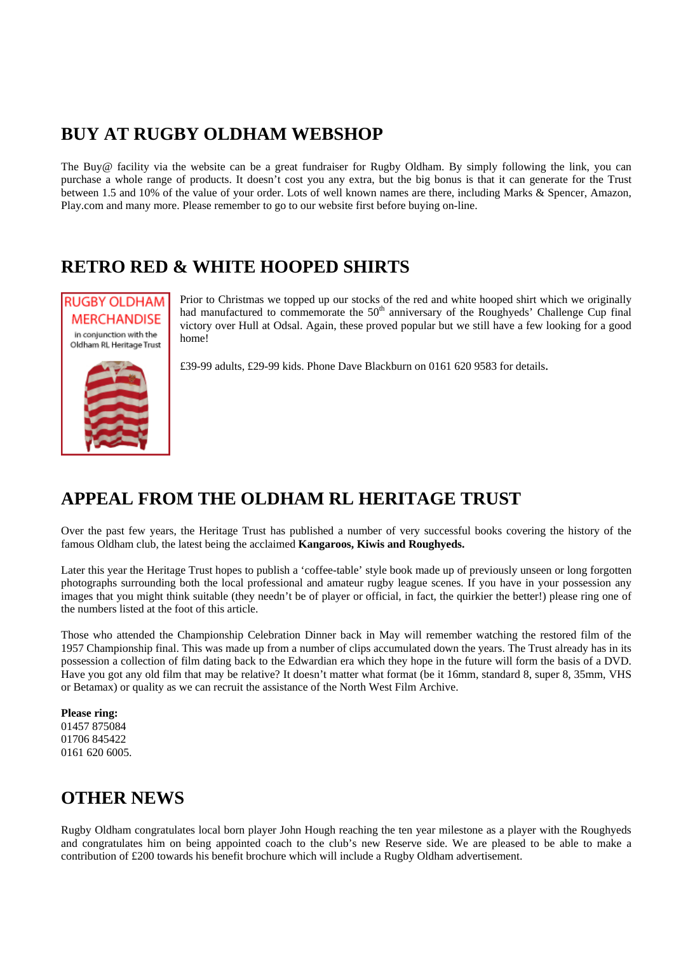# **BUY AT RUGBY OLDHAM WEBSHOP**

The Buy@ facility via the website can be a great fundraiser for Rugby Oldham. By simply following the link, you can purchase a whole range of products. It doesn't cost you any extra, but the big bonus is that it can generate for the Trust between 1.5 and 10% of the value of your order. Lots of well known names are there, including Marks & Spencer, Amazon, Play.com and many more. Please remember to go to our website first before buying on-line.

# **RETRO RED & WHITE HOOPED SHIRTS**



Prior to Christmas we topped up our stocks of the red and white hooped shirt which we originally had manufactured to commemorate the  $50<sup>th</sup>$  anniversary of the Roughyeds' Challenge Cup final victory over Hull at Odsal. Again, these proved popular but we still have a few looking for a good home!

£39-99 adults, £29-99 kids. Phone Dave Blackburn on 0161 620 9583 for details.

# **APPEAL FROM THE OLDHAM RL HERITAGE TRUST**

Over the past few years, the Heritage Trust has published a number of very successful books covering the history of the famous Oldham club, the latest being the acclaimed **Kangaroos, Kiwis and Roughyeds.** 

Later this year the Heritage Trust hopes to publish a 'coffee-table' style book made up of previously unseen or long forgotten photographs surrounding both the local professional and amateur rugby league scenes. If you have in your possession any images that you might think suitable (they needn't be of player or official, in fact, the quirkier the better!) please ring one of the numbers listed at the foot of this article.

Those who attended the Championship Celebration Dinner back in May will remember watching the restored film of the 1957 Championship final. This was made up from a number of clips accumulated down the years. The Trust already has in its possession a collection of film dating back to the Edwardian era which they hope in the future will form the basis of a DVD. Have you got any old film that may be relative? It doesn't matter what format (be it 16mm, standard 8, super 8, 35mm, VHS or Betamax) or quality as we can recruit the assistance of the North West Film Archive.

**Please ring:**  01457 875084 01706 845422 0161 620 6005.

# **OTHER NEWS**

Rugby Oldham congratulates local born player John Hough reaching the ten year milestone as a player with the Roughyeds and congratulates him on being appointed coach to the club's new Reserve side. We are pleased to be able to make a contribution of £200 towards his benefit brochure which will include a Rugby Oldham advertisement.